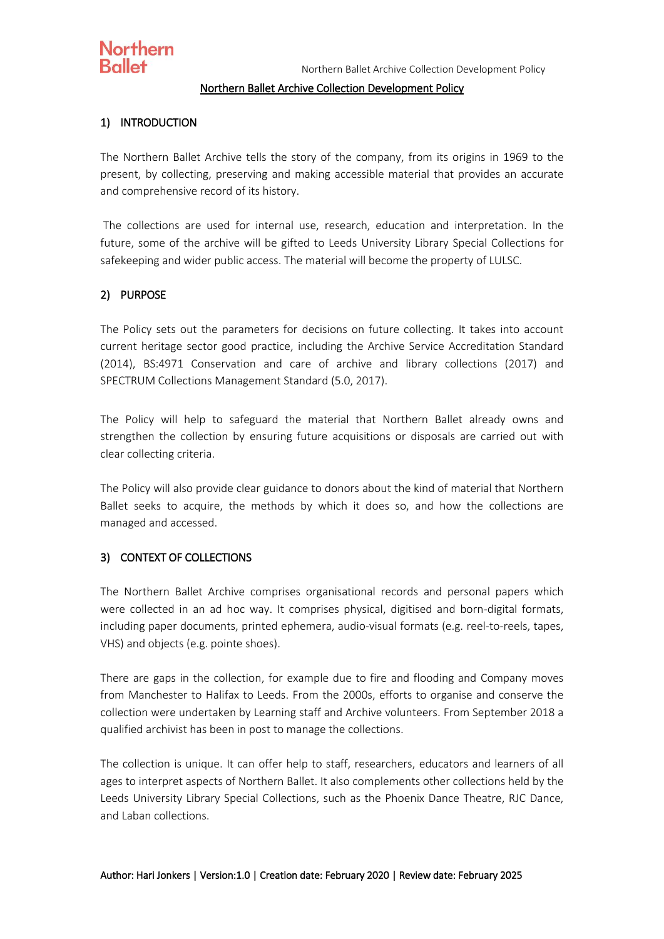## **Northern Ballet**

#### Northern Ballet Archive Collection Development Policy

#### 1) INTRODUCTION

The Northern Ballet Archive tells the story of the company, from its origins in 1969 to the present, by collecting, preserving and making accessible material that provides an accurate and comprehensive record of its history.

The collections are used for internal use, research, education and interpretation. In the future, some of the archive will be gifted to Leeds University Library Special Collections for safekeeping and wider public access. The material will become the property of LULSC.

#### 2) PURPOSE

The Policy sets out the parameters for decisions on future collecting. It takes into account current heritage sector good practice, including the Archive Service Accreditation Standard (2014), BS:4971 Conservation and care of archive and library collections (2017) and SPECTRUM Collections Management Standard (5.0, 2017).

The Policy will help to safeguard the material that Northern Ballet already owns and strengthen the collection by ensuring future acquisitions or disposals are carried out with clear collecting criteria.

The Policy will also provide clear guidance to donors about the kind of material that Northern Ballet seeks to acquire, the methods by which it does so, and how the collections are managed and accessed.

#### 3) CONTEXT OF COLLECTIONS

The Northern Ballet Archive comprises organisational records and personal papers which were collected in an ad hoc way. It comprises physical, digitised and born-digital formats, including paper documents, printed ephemera, audio-visual formats (e.g. reel-to-reels, tapes, VHS) and objects (e.g. pointe shoes).

There are gaps in the collection, for example due to fire and flooding and Company moves from Manchester to Halifax to Leeds. From the 2000s, efforts to organise and conserve the collection were undertaken by Learning staff and Archive volunteers. From September 2018 a qualified archivist has been in post to manage the collections.

The collection is unique. It can offer help to staff, researchers, educators and learners of all ages to interpret aspects of Northern Ballet. It also complements other collections held by the Leeds University Library Special Collections, such as the Phoenix Dance Theatre, RJC Dance, and Laban collections.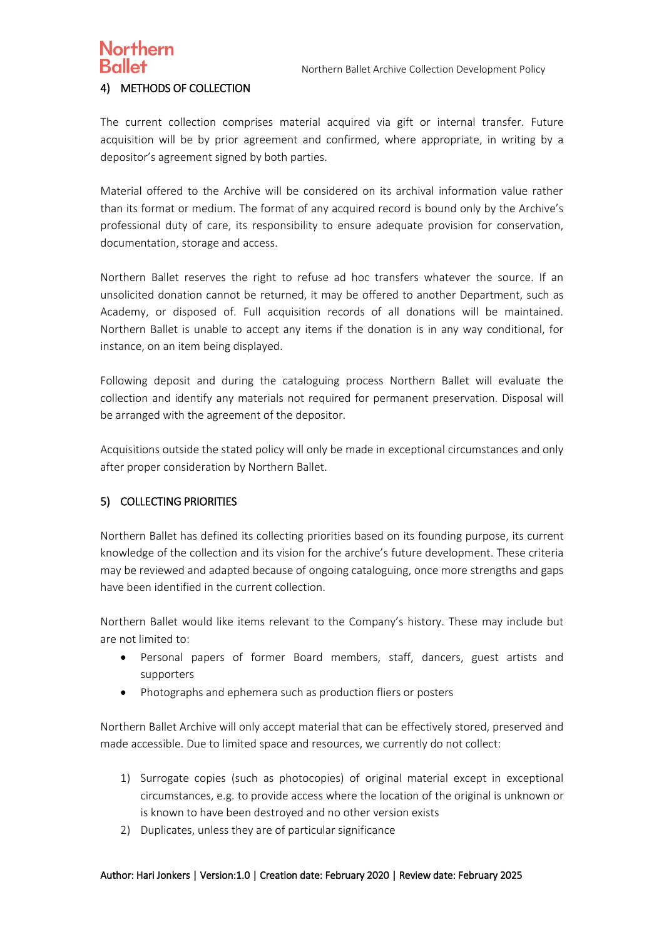#### Northern Ballet Archive Collection Development Policy

# Northern

#### 4) METHODS OF COLLECTION

The current collection comprises material acquired via gift or internal transfer. Future acquisition will be by prior agreement and confirmed, where appropriate, in writing by a depositor's agreement signed by both parties.

Material offered to the Archive will be considered on its archival information value rather than its format or medium. The format of any acquired record is bound only by the Archive's professional duty of care, its responsibility to ensure adequate provision for conservation, documentation, storage and access.

Northern Ballet reserves the right to refuse ad hoc transfers whatever the source. If an unsolicited donation cannot be returned, it may be offered to another Department, such as Academy, or disposed of. Full acquisition records of all donations will be maintained. Northern Ballet is unable to accept any items if the donation is in any way conditional, for instance, on an item being displayed.

Following deposit and during the cataloguing process Northern Ballet will evaluate the collection and identify any materials not required for permanent preservation. Disposal will be arranged with the agreement of the depositor.

Acquisitions outside the stated policy will only be made in exceptional circumstances and only after proper consideration by Northern Ballet.

### 5) COLLECTING PRIORITIES

Northern Ballet has defined its collecting priorities based on its founding purpose, its current knowledge of the collection and its vision for the archive's future development. These criteria may be reviewed and adapted because of ongoing cataloguing, once more strengths and gaps have been identified in the current collection.

Northern Ballet would like items relevant to the Company's history. These may include but are not limited to:

- Personal papers of former Board members, staff, dancers, guest artists and supporters
- Photographs and ephemera such as production fliers or posters

Northern Ballet Archive will only accept material that can be effectively stored, preserved and made accessible. Due to limited space and resources, we currently do not collect:

- 1) Surrogate copies (such as photocopies) of original material except in exceptional circumstances, e.g. to provide access where the location of the original is unknown or is known to have been destroyed and no other version exists
- 2) Duplicates, unless they are of particular significance